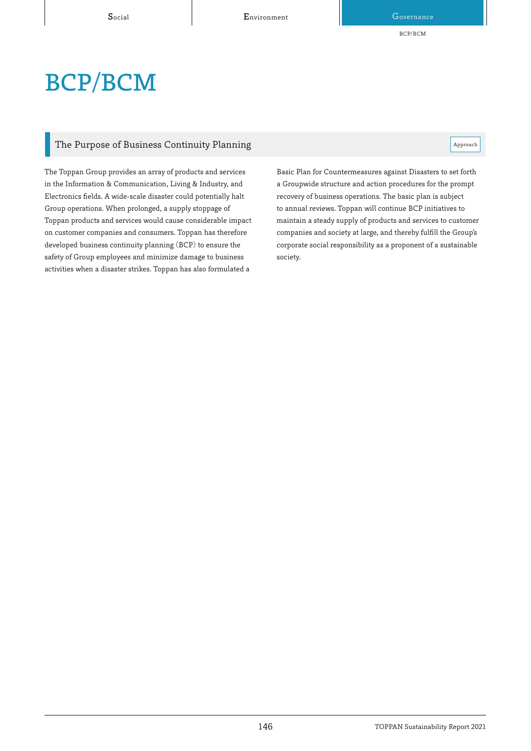BCP/BCM

# BCP/BCM

### The Purpose of Business Continuity Planning  $\mathbb{R}^n$

The Toppan Group provides an array of products and services in the Information & Communication, Living & Industry, and Electronics fields. A wide-scale disaster could potentially halt Group operations. When prolonged, a supply stoppage of Toppan products and services would cause considerable impact on customer companies and consumers. Toppan has therefore developed business continuity planning (BCP) to ensure the safety of Group employees and minimize damage to business activities when a disaster strikes. Toppan has also formulated a

Basic Plan for Countermeasures against Disasters to set forth a Groupwide structure and action procedures for the prompt recovery of business operations. The basic plan is subject to annual reviews. Toppan will continue BCP initiatives to maintain a steady supply of products and services to customer companies and society at large, and thereby fulfill the Group's corporate social responsibility as a proponent of a sustainable society.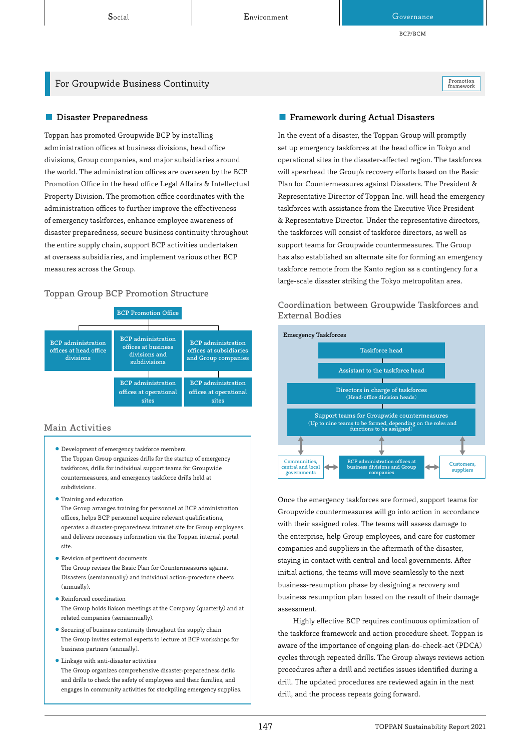BCP/BCM

### For Groupwide Business Continuity **Promotion** Promotion **Promotion** Promotion

framework

Toppan has promoted Groupwide BCP by installing administration offices at business divisions, head office divisions, Group companies, and major subsidiaries around the world. The administration offices are overseen by the BCP Promotion Office in the head office Legal Affairs & Intellectual Property Division. The promotion office coordinates with the administration offices to further improve the effectiveness of emergency taskforces, enhance employee awareness of disaster preparedness, secure business continuity throughout the entire supply chain, support BCP activities undertaken at overseas subsidiaries, and implement various other BCP measures across the Group.

### Toppan Group BCP Promotion Structure



### Main Activities

- ⃝ Development of emergency taskforce members The Toppan Group organizes drills for the startup of emergency taskforces, drills for individual support teams for Groupwide countermeasures, and emergency taskforce drills held at subdivisions.
- ⃝ Training and education

The Group arranges training for personnel at BCP administration offices, helps BCP personnel acquire relevant qualifications, operates a disaster-preparedness intranet site for Group employees, and delivers necessary information via the Toppan internal portal site.

- ⃝ Revision of pertinent documents The Group revises the Basic Plan for Countermeasures against Disasters (semiannually) and individual action-procedure sheets (annually).
- ⃝ Reinforced coordination The Group holds liaison meetings at the Company (quarterly) and at related companies (semiannually).
- ⃝ Securing of business continuity throughout the supply chain The Group invites external experts to lecture at BCP workshops for business partners (annually).
- ⃝ Linkage with anti-disaster activities The Group organizes comprehensive disaster-preparedness drills and drills to check the safety of employees and their families, and engages in community activities for stockpiling emergency supplies.

### ■ Disaster Preparedness Framework during Actual Disasters

In the event of a disaster, the Toppan Group will promptly set up emergency taskforces at the head office in Tokyo and operational sites in the disaster-affected region. The taskforces will spearhead the Group's recovery efforts based on the Basic Plan for Countermeasures against Disasters. The President & Representative Director of Toppan Inc. will head the emergency taskforces with assistance from the Executive Vice President & Representative Director. Under the representative directors, the taskforces will consist of taskforce directors, as well as support teams for Groupwide countermeasures. The Group has also established an alternate site for forming an emergency taskforce remote from the Kanto region as a contingency for a large-scale disaster striking the Tokyo metropolitan area.

## Coordination between Groupwide Taskforces and



Once the emergency taskforces are formed, support teams for Groupwide countermeasures will go into action in accordance with their assigned roles. The teams will assess damage to the enterprise, help Group employees, and care for customer companies and suppliers in the aftermath of the disaster, staying in contact with central and local governments. After initial actions, the teams will move seamlessly to the next business-resumption phase by designing a recovery and business resumption plan based on the result of their damage assessment.

Highly effective BCP requires continuous optimization of the taskforce framework and action procedure sheet. Toppan is aware of the importance of ongoing plan-do-check-act (PDCA) cycles through repeated drills. The Group always reviews action procedures after a drill and rectifies issues identified during a drill. The updated procedures are reviewed again in the next drill, and the process repeats going forward.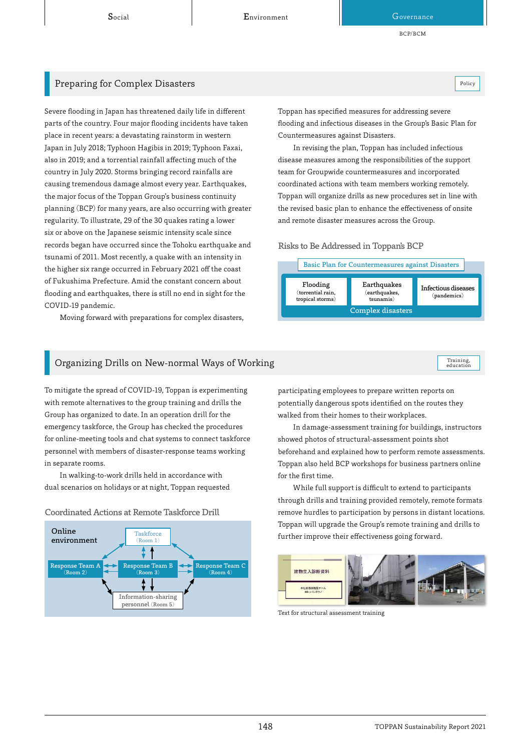Social Covernance Environment Covernance Governance

BCP/BCM

### **Preparing for Complex Disasters Policy Acts and Acts and Acts and Acts and Acts and Acts and Acts and Acts and Policy**

Severe flooding in Japan has threatened daily life in different parts of the country. Four major flooding incidents have taken place in recent years: a devastating rainstorm in western Japan in July 2018; Typhoon Hagibis in 2019; Typhoon Faxai, also in 2019; and a torrential rainfall affecting much of the country in July 2020. Storms bringing record rainfalls are causing tremendous damage almost every year. Earthquakes, the major focus of the Toppan Group's business continuity planning (BCP) for many years, are also occurring with greater regularity. To illustrate, 29 of the 30 quakes rating a lower six or above on the Japanese seismic intensity scale since records began have occurred since the Tohoku earthquake and tsunami of 2011. Most recently, a quake with an intensity in the higher six range occurred in February 2021 off the coast of Fukushima Prefecture. Amid the constant concern about flooding and earthquakes, there is still no end in sight for the COVID-19 pandemic.

Moving forward with preparations for complex disasters,

Toppan has specified measures for addressing severe flooding and infectious diseases in the Group's Basic Plan for Countermeasures against Disasters.

In revising the plan, Toppan has included infectious disease measures among the responsibilities of the support team for Groupwide countermeasures and incorporated coordinated actions with team members working remotely. Toppan will organize drills as new procedures set in line with the revised basic plan to enhance the effectiveness of onsite and remote disaster measures across the Group.

### Risks to Be Addressed in Toppan's BCP



Training,<br>education

### Organizing Drills on New-normal Ways of Working

To mitigate the spread of COVID-19, Toppan is experimenting with remote alternatives to the group training and drills the Group has organized to date. In an operation drill for the emergency taskforce, the Group has checked the procedures for online-meeting tools and chat systems to connect taskforce personnel with members of disaster-response teams working in separate rooms.

In walking-to-work drills held in accordance with dual scenarios on holidays or at night, Toppan requested





In damage-assessment training for buildings, instructors showed photos of structural-assessment points shot beforehand and explained how to perform remote assessments. Toppan also held BCP workshops for business partners online for the first time.

While full support is difficult to extend to participants through drills and training provided remotely, remote formats remove hurdles to participation by persons in distant locations. Toppan will upgrade the Group's remote training and drills to further improve their effectiveness going forward.



建物立入診断資料 本社総務部施設テーム<br>Mike (公元クイ

Text for structural assessment training